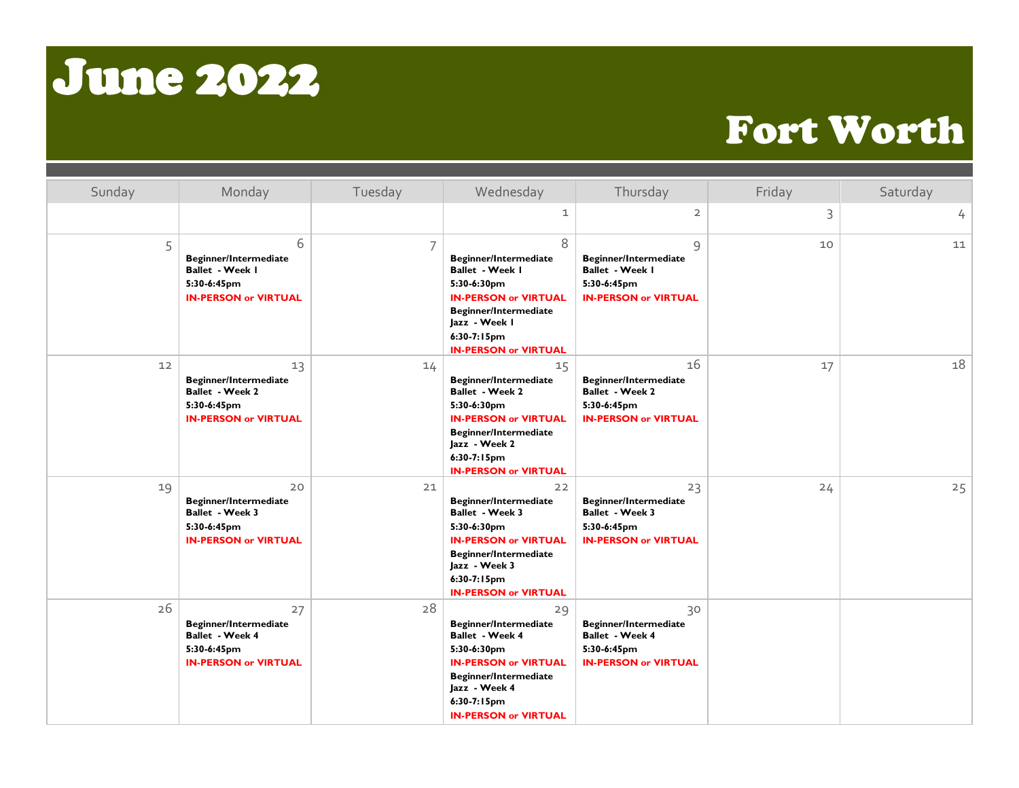## June 2022

## Fort Worth

| Sunday | Monday                                                                                                     | Tuesday | Wednesday                                                                                                                                                                                                   | Thursday                                                                                            | Friday | Saturday |
|--------|------------------------------------------------------------------------------------------------------------|---------|-------------------------------------------------------------------------------------------------------------------------------------------------------------------------------------------------------------|-----------------------------------------------------------------------------------------------------|--------|----------|
|        |                                                                                                            |         | 1                                                                                                                                                                                                           | $\overline{2}$                                                                                      | 3      | 4        |
| 5      | 6<br><b>Beginner/Intermediate</b><br>Ballet - Week I<br>5:30-6:45pm<br><b>IN-PERSON or VIRTUAL</b>         | 7       | 8<br><b>Beginner/Intermediate</b><br>Ballet - Week I<br>5:30-6:30pm<br><b>IN-PERSON or VIRTUAL</b><br>Beginner/Intermediate<br>Jazz - Week I<br>$6:30-7:15pm$<br><b>IN-PERSON or VIRTUAL</b>                | 9<br><b>Beginner/Intermediate</b><br>Ballet - Week I<br>5:30-6:45pm<br><b>IN-PERSON or VIRTUAL</b>  | 10     | 11       |
| 12     | 13<br><b>Beginner/Intermediate</b><br><b>Ballet - Week 2</b><br>5:30-6:45pm<br><b>IN-PERSON or VIRTUAL</b> | 14      | 15<br><b>Beginner/Intermediate</b><br><b>Ballet - Week 2</b><br>5:30-6:30pm<br><b>IN-PERSON or VIRTUAL</b><br><b>Beginner/Intermediate</b><br>Jazz - Week 2<br>$6:30-7:15pm$<br><b>IN-PERSON or VIRTUAL</b> | 16<br><b>Beginner/Intermediate</b><br>Ballet - Week 2<br>5:30-6:45pm<br><b>IN-PERSON or VIRTUAL</b> | 17     | 18       |
| 19     | 20<br><b>Beginner/Intermediate</b><br>Ballet - Week 3<br>5:30-6:45pm<br><b>IN-PERSON or VIRTUAL</b>        | 21      | 22<br><b>Beginner/Intermediate</b><br>Ballet - Week 3<br>5:30-6:30pm<br><b>IN-PERSON or VIRTUAL</b><br><b>Beginner/Intermediate</b><br>Jazz - Week 3<br>6:30-7:15pm<br><b>IN-PERSON or VIRTUAL</b>          | 23<br><b>Beginner/Intermediate</b><br>Ballet - Week 3<br>5:30-6:45pm<br><b>IN-PERSON or VIRTUAL</b> | 24     | 25       |
| 26     | 27<br><b>Beginner/Intermediate</b><br>Ballet - Week 4<br>5:30-6:45pm<br><b>IN-PERSON or VIRTUAL</b>        | 28      | 29<br><b>Beginner/Intermediate</b><br><b>Ballet - Week 4</b><br>5:30-6:30pm<br><b>IN-PERSON or VIRTUAL</b><br>Beginner/Intermediate<br>Jazz - Week 4<br>6:30-7:15pm<br><b>IN-PERSON or VIRTUAL</b>          | 30<br><b>Beginner/Intermediate</b><br>Ballet - Week 4<br>5:30-6:45pm<br><b>IN-PERSON or VIRTUAL</b> |        |          |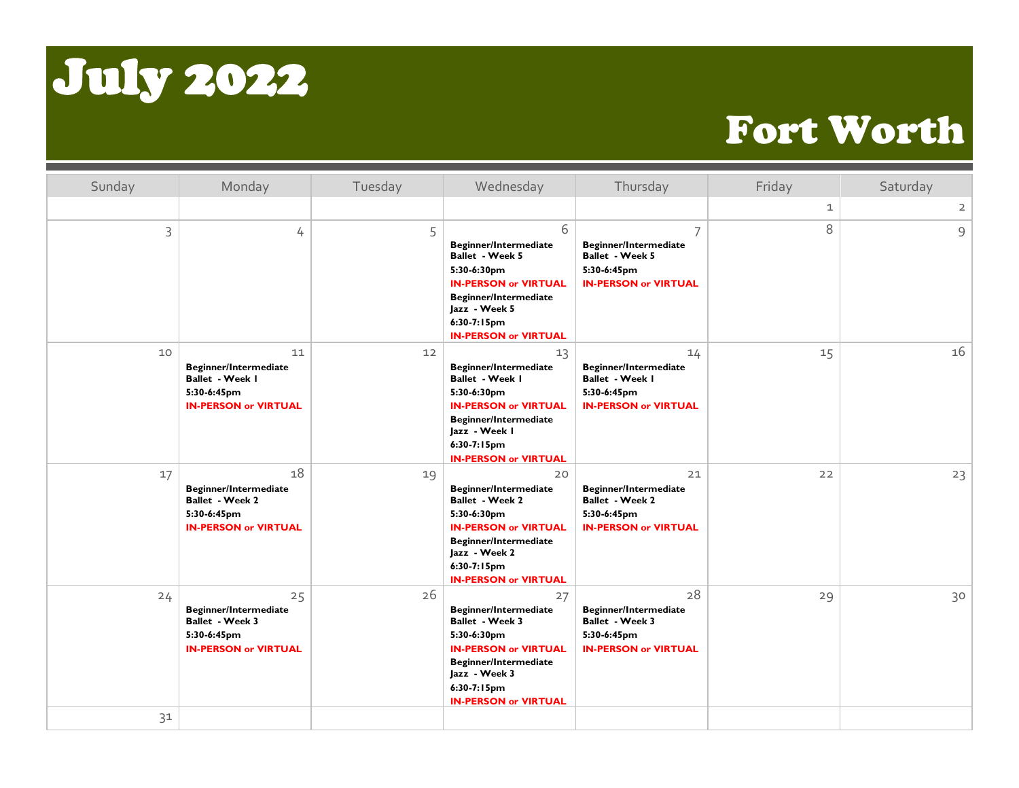

## Fort Worth

| Sunday | Monday                                                                                              | Tuesday | Wednesday                                                                                                                                                                                          | Thursday                                                                                                  | Friday      | Saturday            |
|--------|-----------------------------------------------------------------------------------------------------|---------|----------------------------------------------------------------------------------------------------------------------------------------------------------------------------------------------------|-----------------------------------------------------------------------------------------------------------|-------------|---------------------|
|        |                                                                                                     |         |                                                                                                                                                                                                    |                                                                                                           | $\mathbf 1$ | $\overline{2}$      |
| 3      | 4                                                                                                   | 5       | 6<br>Beginner/Intermediate<br><b>Ballet - Week 5</b><br>5:30-6:30pm<br><b>IN-PERSON or VIRTUAL</b><br><b>Beginner/Intermediate</b><br>Jazz - Week 5<br>6:30-7:15pm<br><b>IN-PERSON or VIRTUAL</b>  | 7<br><b>Beginner/Intermediate</b><br><b>Ballet - Week 5</b><br>5:30-6:45pm<br><b>IN-PERSON or VIRTUAL</b> | 8           | $\mathsf{S}\xspace$ |
| 10     | 11<br><b>Beginner/Intermediate</b><br>Ballet - Week I<br>5:30-6:45pm<br><b>IN-PERSON or VIRTUAL</b> | 12      | 13<br>Beginner/Intermediate<br>Ballet - Week I<br>5:30-6:30pm<br><b>IN-PERSON or VIRTUAL</b><br>Beginner/Intermediate<br>Jazz - Week I<br>$6:30-7:15pm$<br><b>IN-PERSON or VIRTUAL</b>             | 14<br><b>Beginner/Intermediate</b><br>Ballet - Week I<br>5:30-6:45pm<br><b>IN-PERSON or VIRTUAL</b>       | 15          | 16                  |
| 17     | 18<br><b>Beginner/Intermediate</b><br>Ballet - Week 2<br>5:30-6:45pm<br><b>IN-PERSON or VIRTUAL</b> | 19      | 20<br>Beginner/Intermediate<br>Ballet - Week 2<br>5:30-6:30pm<br><b>IN-PERSON or VIRTUAL</b><br><b>Beginner/Intermediate</b><br>Jazz - Week 2<br>$6:30-7:15$ pm<br><b>IN-PERSON or VIRTUAL</b>     | 21<br><b>Beginner/Intermediate</b><br>Ballet - Week 2<br>5:30-6:45pm<br><b>IN-PERSON or VIRTUAL</b>       | 22          | 23                  |
| 24     | 25<br><b>Beginner/Intermediate</b><br>Ballet - Week 3<br>5:30-6:45pm<br><b>IN-PERSON or VIRTUAL</b> | 26      | 27<br><b>Beginner/Intermediate</b><br>Ballet - Week 3<br>5:30-6:30pm<br><b>IN-PERSON or VIRTUAL</b><br><b>Beginner/Intermediate</b><br>Jazz - Week 3<br>6:30-7:15pm<br><b>IN-PERSON or VIRTUAL</b> | 28<br><b>Beginner/Intermediate</b><br>Ballet - Week 3<br>5:30-6:45pm<br><b>IN-PERSON or VIRTUAL</b>       | 29          | 30                  |
| 31     |                                                                                                     |         |                                                                                                                                                                                                    |                                                                                                           |             |                     |